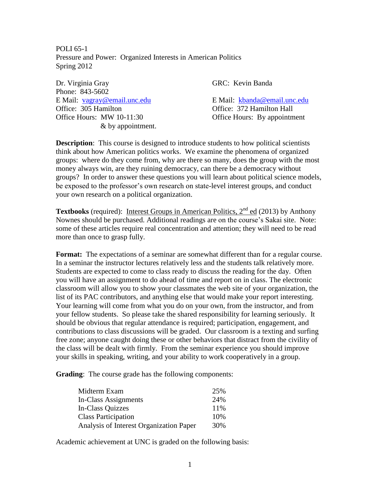POLI 65-1 Pressure and Power: Organized Interests in American Politics Spring 2012

Dr. Virginia Gray GRC: Kevin Banda Phone: 843-5602 E Mail: [vagray@email.unc.edu](mailto:vagray@email.unc.edu) E Mail: [kbanda@email.unc.edu](mailto:kbanda@email.unc.edu) Office: 305 Hamilton Office: 372 Hamilton Hall Office Hours: MW 10-11:30 Office Hours: By appointment & by appointment.

**Description**: This course is designed to introduce students to how political scientists think about how American politics works. We examine the phenomena of organized groups: where do they come from, why are there so many, does the group with the most money always win, are they ruining democracy, can there be a democracy without groups? In order to answer these questions you will learn about political science models, be exposed to the professor's own research on state-level interest groups, and conduct your own research on a political organization.

**Textbooks** (required): Interest Groups in American Politics,  $2^{nd}$  ed (2013) by Anthony Nownes should be purchased. Additional readings are on the course's Sakai site. Note: some of these articles require real concentration and attention; they will need to be read more than once to grasp fully.

**Format:** The expectations of a seminar are somewhat different than for a regular course. In a seminar the instructor lectures relatively less and the students talk relatively more. Students are expected to come to class ready to discuss the reading for the day. Often you will have an assignment to do ahead of time and report on in class. The electronic classroom will allow you to show your classmates the web site of your organization, the list of its PAC contributors, and anything else that would make your report interesting. Your learning will come from what you do on your own, from the instructor, and from your fellow students. So please take the shared responsibility for learning seriously. It should be obvious that regular attendance is required; participation, engagement, and contributions to class discussions will be graded. Our classroom is a texting and surfing free zone; anyone caught doing these or other behaviors that distract from the civility of the class will be dealt with firmly. From the seminar experience you should improve your skills in speaking, writing, and your ability to work cooperatively in a group.

**Grading**: The course grade has the following components:

| Midterm Exam                            | 25%  |
|-----------------------------------------|------|
| In-Class Assignments                    | 24%  |
| In-Class Quizzes                        | 11\% |
| <b>Class Participation</b>              | 10%  |
| Analysis of Interest Organization Paper | 30%  |

Academic achievement at UNC is graded on the following basis: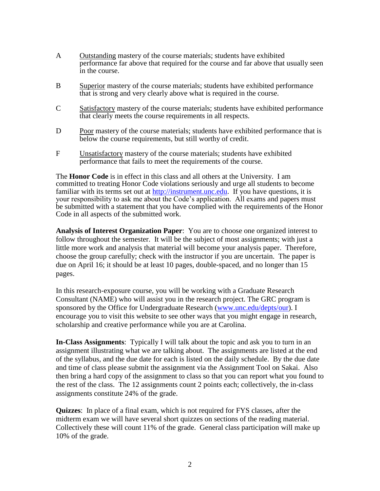- A Outstanding mastery of the course materials; students have exhibited performance far above that required for the course and far above that usually seen in the course.
- B Superior mastery of the course materials; students have exhibited performance that is strong and very clearly above what is required in the course.
- C Satisfactory mastery of the course materials; students have exhibited performance that clearly meets the course requirements in all respects.
- D Poor mastery of the course materials; students have exhibited performance that is below the course requirements, but still worthy of credit.
- F Unsatisfactory mastery of the course materials; students have exhibited performance that fails to meet the requirements of the course.

The **Honor Code** is in effect in this class and all others at the University. I am committed to treating Honor Code violations seriously and urge all students to become familiar with its terms set out at [http://instrument.unc.edu.](http://instrument.unc.edu/) If you have questions, it is your responsibility to ask me about the Code's application. All exams and papers must be submitted with a statement that you have complied with the requirements of the Honor Code in all aspects of the submitted work.

**Analysis of Interest Organization Paper**: You are to choose one organized interest to follow throughout the semester. It will be the subject of most assignments; with just a little more work and analysis that material will become your analysis paper. Therefore, choose the group carefully; check with the instructor if you are uncertain. The paper is due on April 16; it should be at least 10 pages, double-spaced, and no longer than 15 pages.

In this research-exposure course, you will be working with a Graduate Research Consultant (NAME) who will assist you in the research project. The GRC program is sponsored by the Office for Undergraduate Research [\(www.unc.edu/depts/our\)](http://www.unc.edu/depts/our). I encourage you to visit this website to see other ways that you might engage in research, scholarship and creative performance while you are at Carolina.

**In-Class Assignments**: Typically I will talk about the topic and ask you to turn in an assignment illustrating what we are talking about. The assignments are listed at the end of the syllabus, and the due date for each is listed on the daily schedule. By the due date and time of class please submit the assignment via the Assignment Tool on Sakai. Also then bring a hard copy of the assignment to class so that you can report what you found to the rest of the class. The 12 assignments count 2 points each; collectively, the in-class assignments constitute 24% of the grade.

**Quizzes**: In place of a final exam, which is not required for FYS classes, after the midterm exam we will have several short quizzes on sections of the reading material. Collectively these will count 11% of the grade. General class participation will make up 10% of the grade.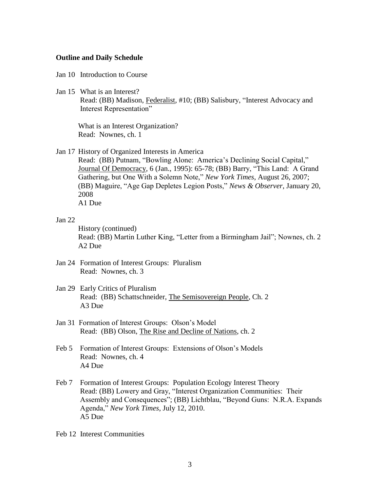## **Outline and Daily Schedule**

Jan 10 Introduction to Course

Jan 15 What is an Interest?

Read: (BB) Madison, Federalist, #10; (BB) Salisbury, "Interest Advocacy and Interest Representation"

What is an Interest Organization? Read: Nownes, ch. 1

Jan 17 History of Organized Interests in America

Read: (BB) Putnam, "Bowling Alone: America's Declining Social Capital," Journal Of Democracy, 6 (Jan., 1995): 65-78; (BB) Barry, "This Land: A Grand Gathering, but One With a Solemn Note," *New York Times*, August 26, 2007; (BB) Maguire, "Age Gap Depletes Legion Posts," *News & Observer*, January 20, 2008

A1 Due

## Jan 22

History (continued) Read: (BB) Martin Luther King, "Letter from a Birmingham Jail"; Nownes, ch. 2 A2 Due

- Jan 24 Formation of Interest Groups: Pluralism Read: Nownes, ch. 3
- Jan 29 Early Critics of Pluralism Read: (BB) Schattschneider, The Semisovereign People, Ch. 2 A3 Due
- Jan 31 Formation of Interest Groups: Olson's Model Read: (BB) Olson, The Rise and Decline of Nations, ch. 2
- Feb 5 Formation of Interest Groups: Extensions of Olson's Models Read: Nownes, ch. 4 A4 Due
- Feb 7 Formation of Interest Groups: Population Ecology Interest Theory Read: (BB) Lowery and Gray, "Interest Organization Communities: Their Assembly and Consequences"; (BB) Lichtblau, "Beyond Guns: N.R.A. Expands Agenda," *New York Times*, July 12, 2010. A5 Due
- Feb 12 Interest Communities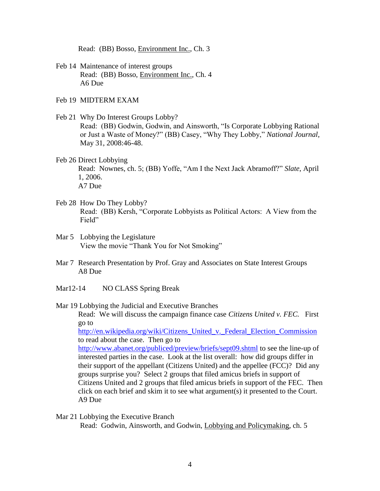Read: (BB) Bosso, Environment Inc., Ch. 3

- Feb 14 Maintenance of interest groups Read: (BB) Bosso, Environment Inc., Ch. 4 A6 Due
- Feb 19 MIDTERM EXAM
- Feb 21 Why Do Interest Groups Lobby? Read: (BB) Godwin, Godwin, and Ainsworth, "Is Corporate Lobbying Rational or Just a Waste of Money?" (BB) Casey, "Why They Lobby," *National Journal*, May 31, 2008:46-48.
- Feb 26 Direct Lobbying Read: Nownes, ch. 5; (BB) Yoffe, "Am I the Next Jack Abramoff?" *Slate*, April 1, 2006. A7 Due
- Feb 28 How Do They Lobby? Read: (BB) Kersh, "Corporate Lobbyists as Political Actors: A View from the Field"
- Mar 5 Lobbying the Legislature View the movie "Thank You for Not Smoking"
- Mar 7 Research Presentation by Prof. Gray and Associates on State Interest Groups A8 Due
- Mar12-14 NO CLASS Spring Break
- Mar 19 Lobbying the Judicial and Executive Branches Read: We will discuss the campaign finance case *Citizens United v. FEC.* First go to [http://en.wikipedia.org/wiki/Citizens\\_United\\_v.\\_Federal\\_Election\\_Commission](http://en.wikipedia.org/wiki/Citizens_United_v._Federal_Election_Commission) to read about the case. Then go to <http://www.abanet.org/publiced/preview/briefs/sept09.shtml> to see the line-up of interested parties in the case. Look at the list overall: how did groups differ in their support of the appellant (Citizens United) and the appellee (FCC)? Did any groups surprise you? Select 2 groups that filed amicus briefs in support of

Citizens United and 2 groups that filed amicus briefs in support of the FEC. Then click on each brief and skim it to see what argument(s) it presented to the Court. A9 Due

Mar 21 Lobbying the Executive Branch Read: Godwin, Ainsworth, and Godwin, Lobbying and Policymaking, ch. 5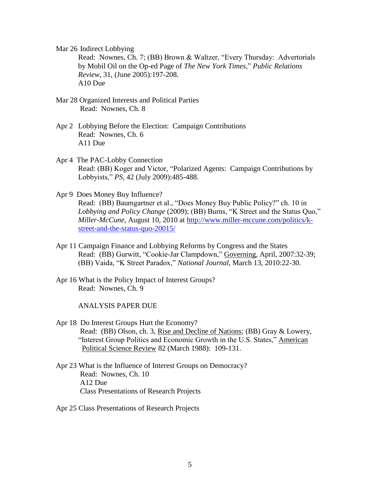Mar 26 Indirect Lobbying

Read: Nownes, Ch. 7; (BB) Brown & Waltzer, "Every Thursday: Advertorials by Mobil Oil on the Op-ed Page of *The New York Times*," *Public Relations Review*, 31, (June 2005):197-208. A10 Due

- Mar 28 Organized Interests and Political Parties Read: Nownes, Ch. 8
- Apr 2 Lobbying Before the Election: Campaign Contributions Read: Nownes, Ch. 6 A11 Due
- Apr 4 The PAC-Lobby Connection Read: (BB) Koger and Victor, "Polarized Agents: Campaign Contributions by Lobbyists," *PS*, 42 (July 2009):485-488.
- Apr 9 Does Money Buy Influence? Read: (BB) Baumgartner et al., "Does Money Buy Public Policy?" ch. 10 in *Lobbying and Policy Change* (2009); (BB) Burns, "K Street and the Status Quo," *Miller-McCune*, August 10, 2010 at [http://www.miller-mccune.com/politics/k](http://www.miller-mccune.com/politics/k-street-and-the-status-quo-20015/)[street-and-the-status-quo-20015/](http://www.miller-mccune.com/politics/k-street-and-the-status-quo-20015/)
- Apr 11 Campaign Finance and Lobbying Reforms by Congress and the States Read: (BB) Gurwitt, "Cookie-Jar Clampdown," Governing, April, 2007:32-39; (BB) Vaida, "K Street Paradox," *National Journal*, March 13, 2010:22-30.
- Apr 16 What is the Policy Impact of Interest Groups? Read: Nownes, Ch. 9

ANALYSIS PAPER DUE

- Apr 18 Do Interest Groups Hurt the Economy? Read: (BB) Olson, ch. 3, Rise and Decline of Nations; (BB) Gray & Lowery, "Interest Group Politics and Economic Growth in the U.S. States," American Political Science Review 82 (March 1988): 109-131.
- Apr 23 What is the Influence of Interest Groups on Democracy? Read: Nownes, Ch. 10 A12 Due Class Presentations of Research Projects
- Apr 25 Class Presentations of Research Projects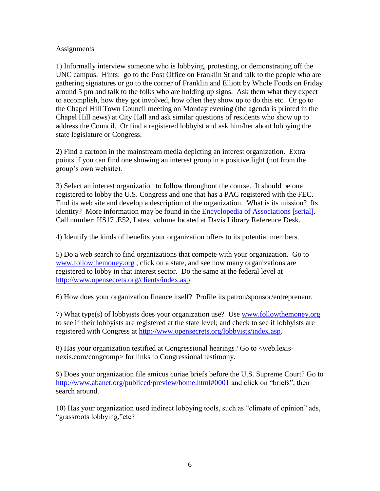## **Assignments**

1) Informally interview someone who is lobbying, protesting, or demonstrating off the UNC campus. Hints: go to the Post Office on Franklin St and talk to the people who are gathering signatures or go to the corner of Franklin and Elliott by Whole Foods on Friday around 5 pm and talk to the folks who are holding up signs. Ask them what they expect to accomplish, how they got involved, how often they show up to do this etc. Or go to the Chapel Hill Town Council meeting on Monday evening (the agenda is printed in the Chapel Hill news) at City Hall and ask similar questions of residents who show up to address the Council. Or find a registered lobbyist and ask him/her about lobbying the state legislature or Congress.

2) Find a cartoon in the mainstream media depicting an interest organization. Extra points if you can find one showing an interest group in a positive light (not from the group's own website).

3) Select an interest organization to follow throughout the course. It should be one registered to lobby the U.S. Congress and one that has a PAC registered with the FEC. Find its web site and develop a description of the organization. What is its mission? Its identity? More information may be found in the **Encyclopedia of Associations** [serial]. Call number: HS17 .E52, Latest volume located at Davis Library Reference Desk.

4) Identify the kinds of benefits your organization offers to its potential members.

5) Do a web search to find organizations that compete with your organization. Go to [www.followthemoney.org](http://www.followthemoney.org/) , click on a state, and see how many organizations are registered to lobby in that interest sector. Do the same at the federal level at <http://www.opensecrets.org/clients/index.asp>

6) How does your organization finance itself? Profile its patron/sponsor/entrepreneur.

7) What type(s) of lobbyists does your organization use? Use [www.followthemoney.org](http://www.followthemoney.org/) to see if their lobbyists are registered at the state level; and check to see if lobbyists are registered with Congress at [http://www.opensecrets.org/lobbyists/index.asp.](http://www.opensecrets.org/lobbyists/index.asp)

8) Has your organization testified at Congressional hearings? Go to <web.lexisnexis.com/congcomp> for links to Congressional testimony.

9) Does your organization file amicus curiae briefs before the U.S. Supreme Court? Go to <http://www.abanet.org/publiced/preview/home.html#0001> and click on "briefs", then search around.

10) Has your organization used indirect lobbying tools, such as "climate of opinion" ads, "grassroots lobbying,"etc?